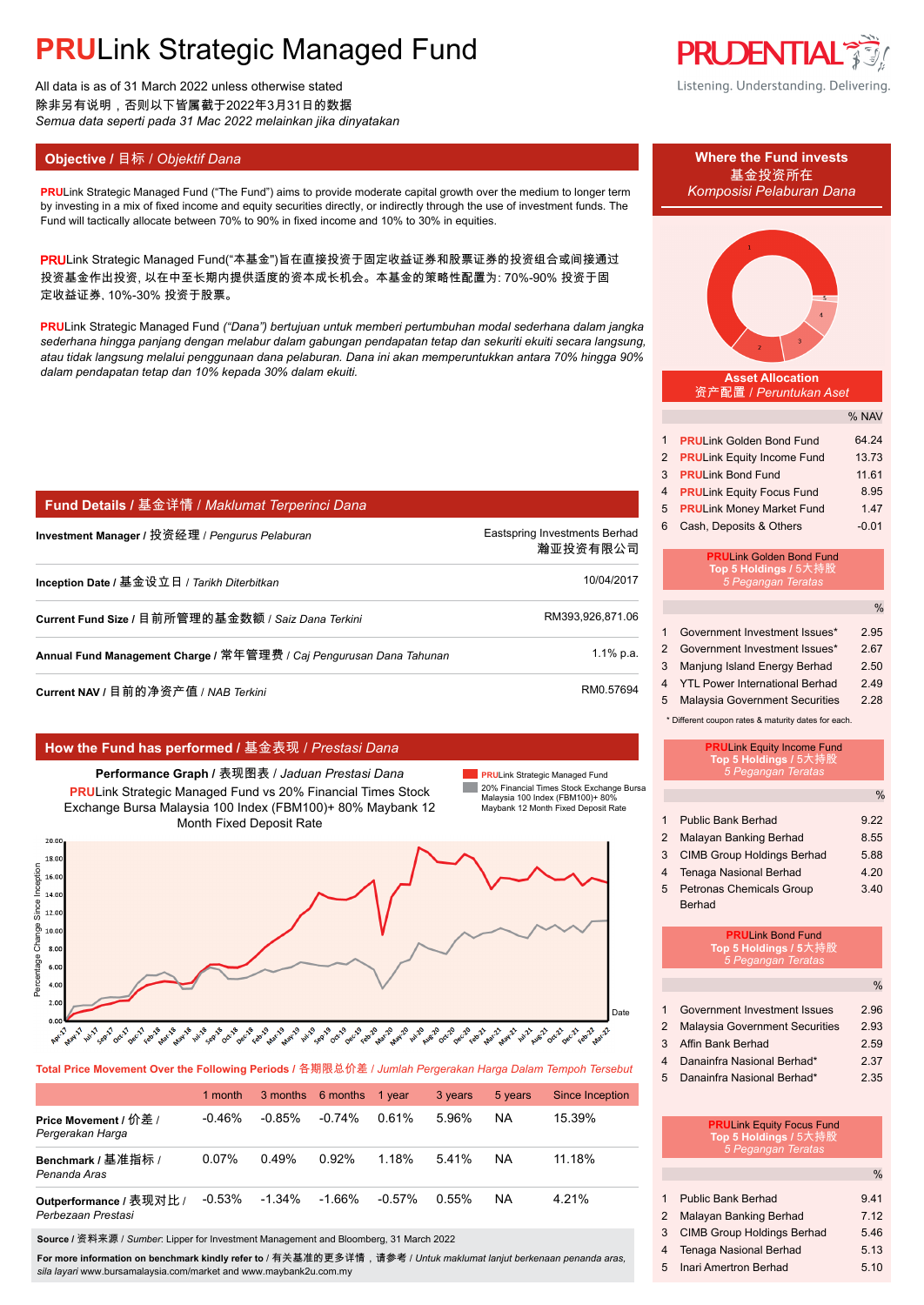All data is as of 31 March 2022 unless otherwise stated 除非另有说明,否则以下皆属截于2022年3月31日的数据 *Semua data seperti pada 31 Mac 2022 melainkan jika dinyatakan*

## **Objective / 目标 /** *Objektif Dana* **<b>Where the Fund invests Where the Fund invests**

**PRULink Strategic Managed Fund ("The Fund") aims to provide moderate capital growth over the medium to longer term** by investing in a mix of fixed income and equity securities directly, or indirectly through the use of investment funds. The Fund will tactically allocate between 70% to 90% in fixed income and 10% to 30% in equities.

PRULink Strategic Managed Fund("本基金")旨在直接投资于固定收益证券和股票证券的投资组合或间接通过 投资基金作出投资, 以在中至长期内提供适度的资本成长机会。本基金的策略性配置为: 70%-90% 投资于固 定收益证券, 10%-30% 投资于股票。

**PRU**Link Strategic Managed Fund *("Dana") bertujuan untuk memberi pertumbuhan modal sederhana dalam jangka sederhana hingga panjang dengan melabur dalam gabungan pendapatan tetap dan sekuriti ekuiti secara langsung, atau tidak langsung melalui penggunaan dana pelaburan. Dana ini akan memperuntukkan antara 70% hingga 90% dalam pendapatan tetap dan 10% kepada 30% dalam ekuiti.*

| Fund Details / 基金详情 / Maklumat Terperinci Dana |  |  |
|------------------------------------------------|--|--|
|------------------------------------------------|--|--|

| Investment Manager / 投资经理 / <i>Penqurus Pelaburan</i>               | Eastspring Investments Berhad<br>瀚亚投资有限公司 |
|---------------------------------------------------------------------|-------------------------------------------|
| Inception Date / 基金设立日 / <i>Tarikh Diterbitkan</i>                  | 10/04/2017                                |
| Current Fund Size / 目前所管理的基金数额 / Saiz Dana Terkini                  | RM393.926.871.06                          |
| Annual Fund Management Charge / 常年管理费 / Caj Pengurusan Dana Tahunan | $1.1\%$ p.a.                              |
| Current NAV / 目前的净资产值 / NAB Terkini                                 | RM0.57694                                 |

### **How the Fund has performed /** 基金表现 / *Prestasi Dana*

**Performance Graph /** 表现图表 / *Jaduan Prestasi Dana* **PRU**Link Strategic Managed Fund vs 20% Financial Times Stock Exchange Bursa Malaysia 100 Index (FBM100)+ 80% Maybank 12 Month Fixed Deposit Rate

**PRU**Link Strategic Managed Fund **COL** 20% Financial Times Stock Exchange Bursa Malaysia 100 Index (FBM100)+ 80% Maybank 12 Month Fixed Deposit Rate



**Total Price Movement Over the Following Periods /** 各期限总价差 / *Jumlah Pergerakan Harga Dalam Tempoh Tersebut*

|                                               | 1 month  |           | 3 months 6 months | 1 year    | 3 years | 5 years   | <b>Since Inception</b> |
|-----------------------------------------------|----------|-----------|-------------------|-----------|---------|-----------|------------------------|
| Price Movement / 价差 /<br>Pergerakan Harga     | -0.46%   | $-0.85%$  | $-0.74%$          | 0.61%     | 5.96%   | <b>NA</b> | 15 39%                 |
| Benchmark / 基准指标 /<br>Penanda Aras            | $0.07\%$ | 0.49%     | 0.92%             | 1.18%     | 5.41%   | <b>NA</b> | 11.18%                 |
| Outperformance / 表现对比 /<br>Perbezaan Prestasi | $-0.53%$ | $-1.34\%$ | $-1.66%$          | $-0.57\%$ | 0.55%   | <b>NA</b> | 4.21%                  |

**Source /** 资料来源 / *Sumber*: Lipper for Investment Management and Bloomberg, 31 March 2022

**For more information on benchmark kindly refer to** / 有关基准的更多详情,请参考 / *Untuk maklumat lanjut berkenaan penanda aras, sila layari* www.bursamalaysia.com/market and www.maybank2u.com.my

**PRUDENTIAL** Listening. Understanding. Delivering.

# ———基金投资所在<br>Komposisi Pelaburan Dana

#### **Asset Allocation** 资产配置 / *Peruntukan Aset*

. . . . . . .

|              |                                   | % NAV   |
|--------------|-----------------------------------|---------|
| $\mathbf{1}$ | <b>PRULink Golden Bond Fund</b>   | 64.24   |
| 2            | <b>PRULink Equity Income Fund</b> | 13.73   |
| 3            | <b>PRULink Bond Fund</b>          | 11.61   |
| 4            | <b>PRULink Equity Focus Fund</b>  | 8.95    |
| 5            | <b>PRULink Money Market Fund</b>  | 1.47    |
| 6            | Cash, Deposits & Others           | $-0.01$ |
|              |                                   |         |

#### **PRU**Link Golden Bond Fund **Top 5 Holdings /** 5大持股 *5 Pegangan Teratas*

|   |                                  | %    |
|---|----------------------------------|------|
|   | 1 Government Investment Issues*  | 2.95 |
|   | 2 Government Investment Issues*  | 2.67 |
| 3 | Manjung Island Energy Berhad     | 2.50 |
|   | 4 YTL Power International Berhad | 249  |

5 Malaysia Government Securities 2.28

\* Different coupon rates & maturity dates for each.

|                | <b>PRULink Equity Income Fund</b><br>Top 5 Holdings / 5大持股<br><b>5 Pegangan Teratas</b> |               |
|----------------|-----------------------------------------------------------------------------------------|---------------|
|                |                                                                                         | $\frac{0}{0}$ |
| 1              | <b>Public Bank Berhad</b>                                                               | 9.22          |
| $\overline{2}$ | Malayan Banking Berhad                                                                  | 8.55          |
| 3              | <b>CIMB Group Holdings Berhad</b>                                                       | 5.88          |
| 4              | <b>Tenaga Nasional Berhad</b>                                                           | 4 2 0         |
| 5              | <b>Petronas Chemicals Group</b>                                                         | 3.40          |
|                | <b>Berhad</b>                                                                           |               |
|                | <b>PRULink Bond Fund</b><br>Top 5 Holdings / 5大持股<br>5 Pegangan Teratas                 |               |
|                |                                                                                         | $\frac{0}{0}$ |
| 1              | Government Investment Issues                                                            | 2.96<br>2.93  |
| 2              | Malaysia Government Securities                                                          |               |

3 Affin Bank Berhad 2.59

- 4 Danainfra Nasional Berhad\* 2.37
- 5 Danainfra Nasional Berhad\* 2.35

| <b>PRULink Equity Focus Fund</b> |
|----------------------------------|
| Top 5 Holdings / 5大持股            |
| 5 Pegangan Teratas               |

| $\frac{0}{0}$ |
|---------------|
| 941           |
| 7 1 2         |
| 5.46          |
| 5.13          |
| 5.10          |
|               |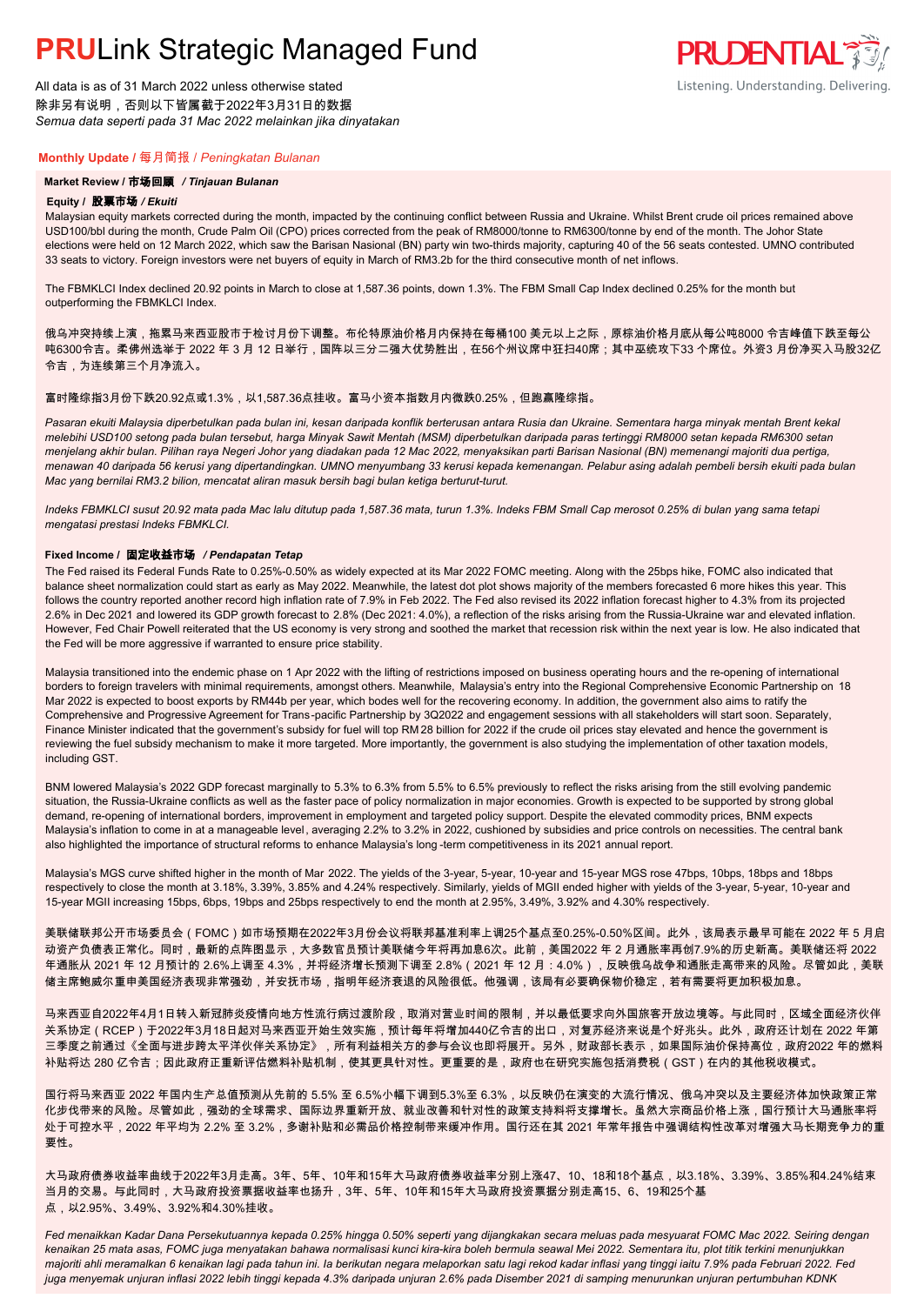All data is as of 31 March 2022 unless otherwise stated 除非另有说明,否则以下皆属截于2022年3月31日的数据 *Semua data seperti pada 31 Mac 2022 melainkan jika dinyatakan*

#### **Monthly Update /** 每月简报 / *Peningkatan Bulanan*

#### **Market Review /** 市场回顾 */ Tinjauan Bulanan*

#### **Equity /** 股票市场 */ Ekuiti.*

Malaysian equity markets corrected during the month, impacted by the continuing conflict between Russia and Ukraine. Whilst Brent crude oil prices remained above USD100/bbl during the month, Crude Palm Oil (CPO) prices corrected from the peak of RM8000/tonne to RM6300/tonne by end of the month. The Johor State elections were held on 12 March 2022, which saw the Barisan Nasional (BN) party win two-thirds majority, capturing 40 of the 56 seats contested. UMNO contributed 33 seats to victory. Foreign investors were net buyers of equity in March of RM3.2b for the third consecutive month of net inflows.

The FBMKLCI Index declined 20.92 points in March to close at 1,587.36 points, down 1.3%. The FBM Small Cap Index declined 0.25% for the month but outperforming the FBMKLCI Index.

俄乌冲突持续上演,拖累马来西亚股市于检讨月份下调整。布伦特原油价格月内保持在每桶100 美元以上之际,原棕油价格月底从每公吨8000 令吉峰值下跌至每公 吨6300令吉。柔佛州选举于 2022 年 3 月 12 日举行,国阵以三分二强大优势胜出,在56个州议席中狂扫40席;其中巫统攻下33 个席位。外资3 月份净买入马股32亿 令吉,为连续第三个月净流入。

#### 富时隆综指3月份下跌20.92点或1.3%,以1,587.36点挂收。富马小资本指数月内微跌0.25%,但跑赢隆综指。

*Pasaran ekuiti Malaysia diperbetulkan pada bulan ini, kesan daripada konflik berterusan antara Rusia dan Ukraine. Sementara harga minyak mentah Brent kekal melebihi USD100 setong pada bulan tersebut, harga Minyak Sawit Mentah (MSM) diperbetulkan daripada paras tertinggi RM8000 setan kepada RM6300 setan menjelang akhir bulan. Pilihan raya Negeri Johor yang diadakan pada 12 Mac 2022, menyaksikan parti Barisan Nasional (BN) memenangi majoriti dua pertiga, menawan 40 daripada 56 kerusi yang dipertandingkan. UMNO menyumbang 33 kerusi kepada kemenangan. Pelabur asing adalah pembeli bersih ekuiti pada bulan Mac yang bernilai RM3.2 bilion, mencatat aliran masuk bersih bagi bulan ketiga berturut-turut.*

*Indeks FBMKLCI susut 20.92 mata pada Mac lalu ditutup pada 1,587.36 mata, turun 1.3%. Indeks FBM Small Cap merosot 0.25% di bulan yang sama tetapi mengatasi prestasi Indeks FBMKLCI.*

#### **Fixed Income /** 固定收益市场 */ Pendapatan Tetap*

*.* The Fed raised its Federal Funds Rate to 0.25%-0.50% as widely expected at its Mar 2022 FOMC meeting. Along with the 25bps hike, FOMC also indicated that balance sheet normalization could start as early as May 2022. Meanwhile, the latest dot plot shows majority of the members forecasted 6 more hikes this year. This follows the country reported another record high inflation rate of 7.9% in Feb 2022. The Fed also revised its 2022 inflation forecast higher to 4.3% from its projected 2.6% in Dec 2021 and lowered its GDP growth forecast to 2.8% (Dec 2021: 4.0%), a reflection of the risks arising from the Russia-Ukraine war and elevated inflation. However, Fed Chair Powell reiterated that the US economy is very strong and soothed the market that recession risk within the next year is low. He also indicated that the Fed will be more aggressive if warranted to ensure price stability.

Malaysia transitioned into the endemic phase on 1 Apr 2022 with the lifting of restrictions imposed on business operating hours and the re-opening of international borders to foreign travelers with minimal requirements, amongst others. Meanwhile, Malaysia's entry into the Regional Comprehensive Economic Partnership on 18 Mar 2022 is expected to boost exports by RM44b per year, which bodes well for the recovering economy. In addition, the government also aims to ratify the Comprehensive and Progressive Agreement for Trans-pacific Partnership by 3Q2022 and engagement sessions with all stakeholders will start soon. Separately, Finance Minister indicated that the government's subsidy for fuel will top RM 28 billion for 2022 if the crude oil prices stay elevated and hence the government is reviewing the fuel subsidy mechanism to make it more targeted. More importantly, the government is also studying the implementation of other taxation models, including GST.

BNM lowered Malaysia's 2022 GDP forecast marginally to 5.3% to 6.3% from 5.5% to 6.5% previously to reflect the risks arising from the still evolving pandemic situation, the Russia-Ukraine conflicts as well as the faster pace of policy normalization in major economies. Growth is expected to be supported by strong global demand, re-opening of international borders, improvement in employment and targeted policy support. Despite the elevated commodity prices, BNM expects Malaysia's inflation to come in at a manageable level, averaging 2.2% to 3.2% in 2022, cushioned by subsidies and price controls on necessities. The central bank also highlighted the importance of structural reforms to enhance Malaysia's long -term competitiveness in its 2021 annual report.

Malaysia's MGS curve shifted higher in the month of Mar 2022. The yields of the 3-year, 5-year, 10-year and 15-year MGS rose 47bps, 10bps, 18bps and 18bps respectively to close the month at 3.18%, 3.39%, 3.85% and 4.24% respectively. Similarly, yields of MGII ended higher with yields of the 3-year, 5-year, 10-year and 15-year MGII increasing 15bps, 6bps, 19bps and 25bps respectively to end the month at 2.95%, 3.49%, 3.92% and 4.30% respectively.

美联储联邦公开市场委员会(FOMC)如市场预期在2022年3月份会议将联邦基准利率上调25个基点至0.25%-0.50%区间。此外,该局表示最早可能在 2022 年 5 月启 动资产负债表正常化。同时,最新的点阵图显示,大多数官员预计美联储今年将再加息6次。此前,美国2022 年 2 月通胀率再创7.9%的历史新高。美联储还将 2022 年通胀从 2021 年 12 月预计的 2.6%上调至 4.3%,并将经济增长预测下调至 2.8%(2021 年 12 月:4.0%),反映俄乌战争和通胀走高带来的风险。尽管如此,美联 储主席鲍威尔重申美国经济表现非常强劲,并安抚市场,指明年经济衰退的风险很低。他强调,该局有必要确保物价稳定,若有需要将更加积极加息。

马来西亚自2022年4月1日转入新冠肺炎疫情向地方性流行病过渡阶段,取消对营业时间的限制,并以最低要求向外国旅客开放边境等。与此同时,区域全面经济伙伴 关系协定(RCEP)于2022年3月18日起对马来西亚开始生效实施,预计每年将增加440亿令吉的出口,对复苏经济来说是个好兆头。此外,政府还计划在 2022 年第 三季度之前通过《全面与进步跨太平洋伙伴关系协定》,所有利益相关方的参与会议也即将展开。另外,财政部长表示,如果国际油价保持高位,政府2022 年的燃料 补贴将达 280 亿令吉;因此政府正重新评估燃料补贴机制,使其更具针对性。更重要的是,政府也在研究实施包括消费税(GST)在内的其他税收模式。

国行将马来西亚 2022 年国内生产总值预测从先前的 5.5% 至 6.5%小幅下调到5.3%至 6.3%,以反映仍在演变的大流行情况、俄乌冲突以及主要经济体加快政策正常 化步伐带来的风险。尽管如此,强劲的全球需求、国际边界重新开放、就业改善和针对性的政策支持料将支撑增长。虽然大宗商品价格上涨,国行预计大马通胀率将 处于可控水平,2022 年平均为 2.2% 至 3.2%,多谢补贴和必需品价格控制带来缓冲作用。国行还在其 2021 年常年报告中强调结构性改革对增强大马长期竞争力的重 要性。

大马政府债券收益率曲线于2022年3月走高。3年、5年、10年和15年大马政府债券收益率分别上涨47、10、18和18个基点,以3.18%、3.39%、3.85%和4.24%结束 当月的交易。与此同时,大马政府投资票据收益率也扬升,3年、5年、10年和15年大马政府投资票据分别走高15、6、19和25个基 点,以2.95%、3.49%、3.92%和4.30%挂收。

*Fed menaikkan Kadar Dana Persekutuannya kepada 0.25% hingga 0.50% seperti yang dijangkakan secara meluas pada mesyuarat FOMC Mac 2022. Seiring dengan kenaikan 25 mata asas, FOMC juga menyatakan bahawa normalisasi kunci kira-kira boleh bermula seawal Mei 2022. Sementara itu, plot titik terkini menunjukkan majoriti ahli meramalkan 6 kenaikan lagi pada tahun ini. Ia berikutan negara melaporkan satu lagi rekod kadar inflasi yang tinggi iaitu 7.9% pada Februari 2022. Fed juga menyemak unjuran inflasi 2022 lebih tinggi kepada 4.3% daripada unjuran 2.6% pada Disember 2021 di samping menurunkan unjuran pertumbuhan KDNK* 

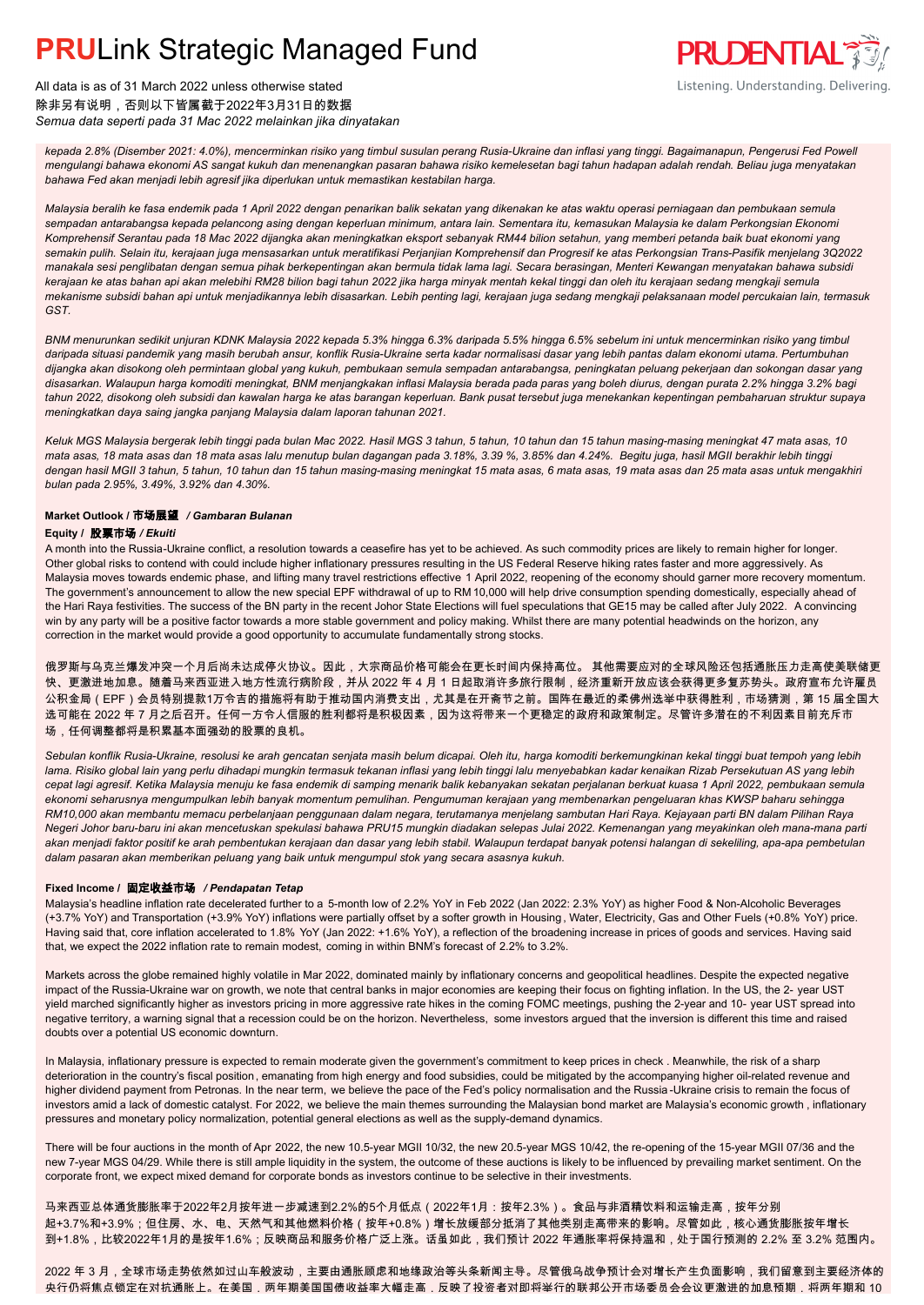

All data is as of 31 March 2022 unless otherwise stated 除非另有说明,否则以下皆属截于2022年3月31日的数据 *Semua data seperti pada 31 Mac 2022 melainkan jika dinyatakan*

*kepada 2.8% (Disember 2021: 4.0%), mencerminkan risiko yang timbul susulan perang Rusia-Ukraine dan inflasi yang tinggi. Bagaimanapun, Pengerusi Fed Powell mengulangi bahawa ekonomi AS sangat kukuh dan menenangkan pasaran bahawa risiko kemelesetan bagi tahun hadapan adalah rendah. Beliau juga menyatakan bahawa Fed akan menjadi lebih agresif jika diperlukan untuk memastikan kestabilan harga.*

*Malaysia beralih ke fasa endemik pada 1 April 2022 dengan penarikan balik sekatan yang dikenakan ke atas waktu operasi perniagaan dan pembukaan semula sempadan antarabangsa kepada pelancong asing dengan keperluan minimum, antara lain. Sementara itu, kemasukan Malaysia ke dalam Perkongsian Ekonomi Komprehensif Serantau pada 18 Mac 2022 dijangka akan meningkatkan eksport sebanyak RM44 bilion setahun, yang memberi petanda baik buat ekonomi yang semakin pulih. Selain itu, kerajaan juga mensasarkan untuk meratifikasi Perjanjian Komprehensif dan Progresif ke atas Perkongsian Trans-Pasifik menjelang 3Q2022 manakala sesi penglibatan dengan semua pihak berkepentingan akan bermula tidak lama lagi. Secara berasingan, Menteri Kewangan menyatakan bahawa subsidi kerajaan ke atas bahan api akan melebihi RM28 bilion bagi tahun 2022 jika harga minyak mentah kekal tinggi dan oleh itu kerajaan sedang mengkaji semula mekanisme subsidi bahan api untuk menjadikannya lebih disasarkan. Lebih penting lagi, kerajaan juga sedang mengkaji pelaksanaan model percukaian lain, termasuk GST.*

*BNM menurunkan sedikit unjuran KDNK Malaysia 2022 kepada 5.3% hingga 6.3% daripada 5.5% hingga 6.5% sebelum ini untuk mencerminkan risiko yang timbul daripada situasi pandemik yang masih berubah ansur, konflik Rusia-Ukraine serta kadar normalisasi dasar yang lebih pantas dalam ekonomi utama. Pertumbuhan dijangka akan disokong oleh permintaan global yang kukuh, pembukaan semula sempadan antarabangsa, peningkatan peluang pekerjaan dan sokongan dasar yang disasarkan. Walaupun harga komoditi meningkat, BNM menjangkakan inflasi Malaysia berada pada paras yang boleh diurus, dengan purata 2.2% hingga 3.2% bagi tahun 2022, disokong oleh subsidi dan kawalan harga ke atas barangan keperluan. Bank pusat tersebut juga menekankan kepentingan pembaharuan struktur supaya meningkatkan daya saing jangka panjang Malaysia dalam laporan tahunan 2021.*

*Keluk MGS Malaysia bergerak lebih tinggi pada bulan Mac 2022. Hasil MGS 3 tahun, 5 tahun, 10 tahun dan 15 tahun masing-masing meningkat 47 mata asas, 10 mata asas, 18 mata asas dan 18 mata asas lalu menutup bulan dagangan pada 3.18%, 3.39 %, 3.85% dan 4.24%. Begitu juga, hasil MGII berakhir lebih tinggi dengan hasil MGII 3 tahun, 5 tahun, 10 tahun dan 15 tahun masing-masing meningkat 15 mata asas, 6 mata asas, 19 mata asas dan 25 mata asas untuk mengakhiri bulan pada 2.95%, 3.49%, 3.92% dan 4.30%.*

## **Market Outlook /** 市场展望 */ Gambaran Bulanan*

#### **Equity /** 股票市场 */ Ekuiti .*

A month into the Russia-Ukraine conflict, a resolution towards a ceasefire has yet to be achieved. As such commodity prices are likely to remain higher for longer. Other global risks to contend with could include higher inflationary pressures resulting in the US Federal Reserve hiking rates faster and more aggressively. As Malaysia moves towards endemic phase, and lifting many travel restrictions effective 1 April 2022, reopening of the economy should garner more recovery momentum. The government's announcement to allow the new special EPF withdrawal of up to RM 10,000 will help drive consumption spending domestically, especially ahead of the Hari Raya festivities. The success of the BN party in the recent Johor State Elections will fuel speculations that GE15 may be called after July 2022. A convincing win by any party will be a positive factor towards a more stable government and policy making. Whilst there are many potential headwinds on the horizon, any correction in the market would provide a good opportunity to accumulate fundamentally strong stocks.

俄罗斯与乌克兰爆发冲突一个月后尚未达成停火协议。因此,大宗商品价格可能会在更长时间内保持高位。 其他需要应对的全球风险还包括通胀压力走高使美联储更 快、更激进地加息。随着马来西亚进入地方性流行病阶段,并从 2022 年 4 月 1 日起取消许多旅行限制,经济重新开放应该会获得更多复苏势头。政府宣布允许雇员 公积金局(EPF)会员特别提款1万令吉的措施将有助于推动国内消费支出,尤其是在开斋节之前。国阵在最近的柔佛州选举中获得胜利,市场猜测,第 15 届全国大 选可能在 2022 年 7 月之后召开。任何一方令人信服的胜利都将是积极因素,因为这将带来一个更稳定的政府和政策制定。尽管许多潜在的不利因素目前充斥市 场,任何调整都将是积累基本面强劲的股票的良机。

*Sebulan konflik Rusia-Ukraine, resolusi ke arah gencatan senjata masih belum dicapai. Oleh itu, harga komoditi berkemungkinan kekal tinggi buat tempoh yang lebih lama. Risiko global lain yang perlu dihadapi mungkin termasuk tekanan inflasi yang lebih tinggi lalu menyebabkan kadar kenaikan Rizab Persekutuan AS yang lebih cepat lagi agresif. Ketika Malaysia menuju ke fasa endemik di samping menarik balik kebanyakan sekatan perjalanan berkuat kuasa 1 April 2022, pembukaan semula ekonomi seharusnya mengumpulkan lebih banyak momentum pemulihan. Pengumuman kerajaan yang membenarkan pengeluaran khas KWSP baharu sehingga RM10,000 akan membantu memacu perbelanjaan penggunaan dalam negara, terutamanya menjelang sambutan Hari Raya. Kejayaan parti BN dalam Pilihan Raya Negeri Johor baru-baru ini akan mencetuskan spekulasi bahawa PRU15 mungkin diadakan selepas Julai 2022. Kemenangan yang meyakinkan oleh mana-mana parti akan menjadi faktor positif ke arah pembentukan kerajaan dan dasar yang lebih stabil. Walaupun terdapat banyak potensi halangan di sekeliling, apa-apa pembetulan dalam pasaran akan memberikan peluang yang baik untuk mengumpul stok yang secara asasnya kukuh.*

#### **Fixed Income /** 固定收益市场 */ Pendapatan Tetap*

Malaysia's headline inflation rate decelerated further to a 5-month low of 2.2% YoY in Feb 2022 (Jan 2022: 2.3% YoY) as higher Food & Non-Alcoholic Beverages (+3.7% YoY) and Transportation (+3.9% YoY) inflations were partially offset by a softer growth in Housing , Water, Electricity, Gas and Other Fuels (+0.8% YoY) price. Having said that, core inflation accelerated to 1.8% YoY (Jan 2022: +1.6% YoY), a reflection of the broadening increase in prices of goods and services. Having said that, we expect the 2022 inflation rate to remain modest, coming in within BNM's forecast of 2.2% to 3.2%.

Markets across the globe remained highly volatile in Mar 2022, dominated mainly by inflationary concerns and geopolitical headlines. Despite the expected negative impact of the Russia-Ukraine war on growth, we note that central banks in major economies are keeping their focus on fighting inflation. In the US, the 2- year UST yield marched significantly higher as investors pricing in more aggressive rate hikes in the coming FOMC meetings, pushing the 2-year and 10- year UST spread into negative territory, a warning signal that a recession could be on the horizon. Nevertheless, some investors argued that the inversion is different this time and raised doubts over a potential US economic downturn.

In Malaysia, inflationary pressure is expected to remain moderate given the government's commitment to keep prices in check . Meanwhile, the risk of a sharp deterioration in the country's fiscal position, emanating from high energy and food subsidies, could be mitigated by the accompanying higher oil-related revenue and higher dividend payment from Petronas. In the near term, we believe the pace of the Fed's policy normalisation and the Russia -Ukraine crisis to remain the focus of investors amid a lack of domestic catalyst. For 2022, we believe the main themes surrounding the Malaysian bond market are Malaysia's economic growth, inflationary pressures and monetary policy normalization, potential general elections as well as the supply-demand dynamics.

There will be four auctions in the month of Apr 2022, the new 10.5-year MGII 10/32, the new 20.5-year MGS 10/42, the re-opening of the 15-year MGII 07/36 and the new 7-year MGS 04/29. While there is still ample liquidity in the system, the outcome of these auctions is likely to be influenced by prevailing market sentiment. On the corporate front, we expect mixed demand for corporate bonds as investors continue to be selective in their investments.

马来西亚总体通货膨胀率于2022年2月按年进一步减速到2.2%的5个月低点(2022年1月:按年2.3%)。食品与非酒精饮料和运输走高,按年分别 起+3.7%和+3.9%;但住房、水、电、天然气和其他燃料价格(按年+0.8%)增长放缓部分抵消了其他类别走高带来的影响。尽管如此,核心通货膨胀按年增长 到+1.8%,比较2022年1月的是按年1.6%;反映商品和服务价格广泛上涨。话虽如此,我们预计 2022 年通胀率将保持温和,处于国行预测的 2.2% 至 3.2% 范围内。

2022 年 3 月,全球市场走势依然如过山车般波动,主要由通胀顾虑和地缘政治等头条新闻主导。尽管俄乌战争预计会对增长产生负面影响,我们留意到主要经济体的 央行仍将焦点锁定在对抗通胀上。在美国,两年期美国国债收益率大幅走高,反映了投资者对即将举行的联邦公开市场委员会会议更激进的加息预期,将两年期和 10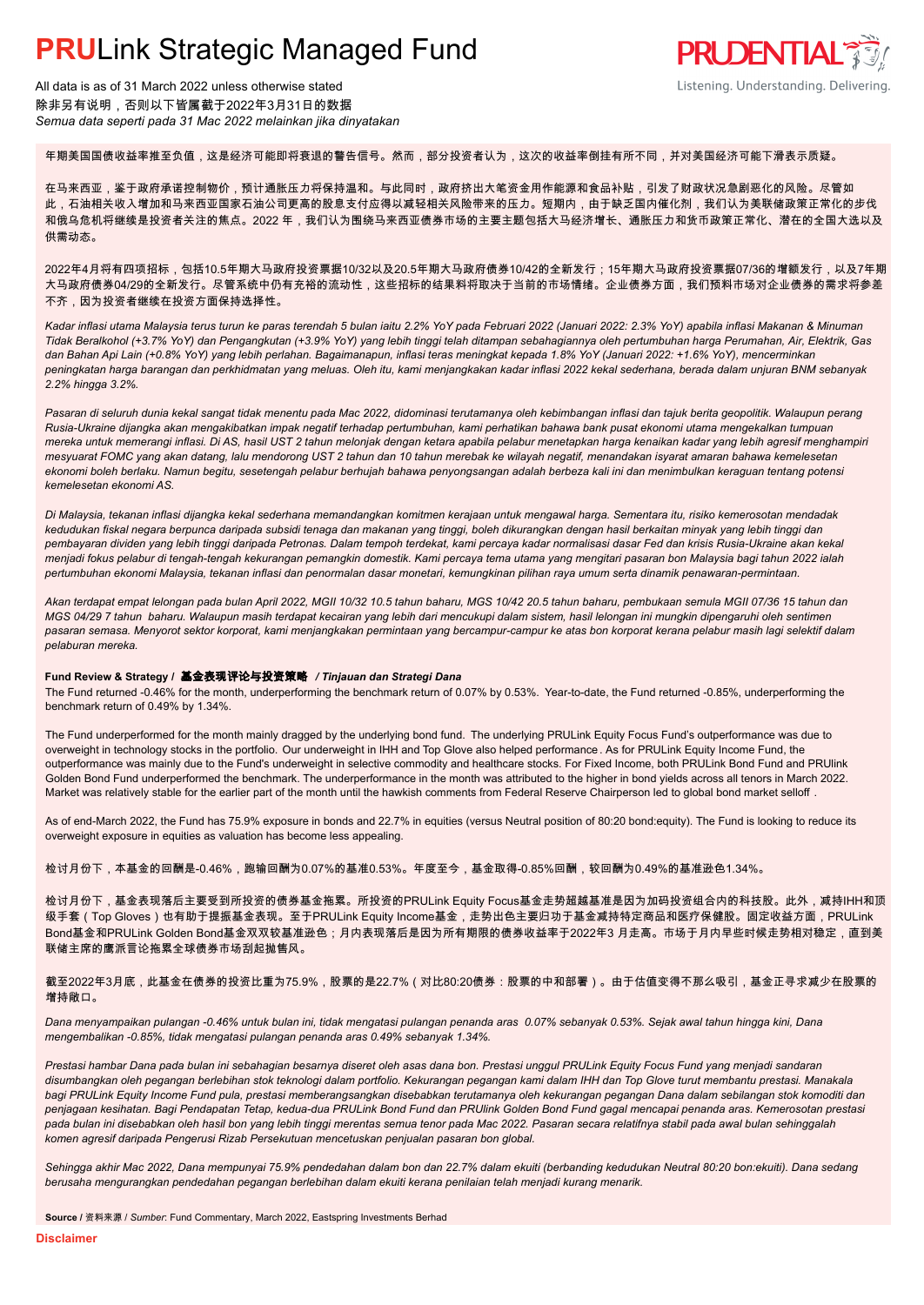

All data is as of 31 March 2022 unless otherwise stated 除非另有说明,否则以下皆属截于2022年3月31日的数据 *Semua data seperti pada 31 Mac 2022 melainkan jika dinyatakan*

年期美国国债收益率推至负值,这是经济可能即将衰退的警告信号。然而,部分投资者认为,这次的收益率倒挂有所不同,并对美国经济可能下滑表示质疑。

在马来西亚,鉴于政府承诺控制物价,预计通胀压力将保持温和。与此同时,政府挤出大笔资金用作能源和食品补贴,引发了财政状况急剧恶化的风险。尽管如 此,石油相关收入增加和马来西亚国家石油公司更高的股息支付应得以减轻相关风险带来的压力。短期内,由于缺乏国内催化剂,我们认为美联储政策正常化的步伐 和俄乌危机将继续是投资者关注的焦点。2022 年,我们认为围绕马来西亚债券市场的主要主题包括大马经济增长、通胀压力和货币政策正常化、潜在的全国大选以及 供需动态。

2022年4月将有四项招标,包括10.5年期大马政府投资票据10/32以及20.5年期大马政府债券10/42的全新发行;15年期大马政府投资票据07/36的增额发行,以及7年期 大马政府债券04/29的全新发行。尽管系统中仍有充裕的流动性,这些招标的结果料将取决于当前的市场情绪。企业债券方面,我们预料市场对企业债券的需求将参差 不齐,因为投资者继续在投资方面保持选择性。

*Kadar inflasi utama Malaysia terus turun ke paras terendah 5 bulan iaitu 2.2% YoY pada Februari 2022 (Januari 2022: 2.3% YoY) apabila inflasi Makanan & Minuman Tidak Beralkohol (+3.7% YoY) dan Pengangkutan (+3.9% YoY) yang lebih tinggi telah ditampan sebahagiannya oleh pertumbuhan harga Perumahan, Air, Elektrik, Gas dan Bahan Api Lain (+0.8% YoY) yang lebih perlahan. Bagaimanapun, inflasi teras meningkat kepada 1.8% YoY (Januari 2022: +1.6% YoY), mencerminkan peningkatan harga barangan dan perkhidmatan yang meluas. Oleh itu, kami menjangkakan kadar inflasi 2022 kekal sederhana, berada dalam unjuran BNM sebanyak 2.2% hingga 3.2%.*

*Pasaran di seluruh dunia kekal sangat tidak menentu pada Mac 2022, didominasi terutamanya oleh kebimbangan inflasi dan tajuk berita geopolitik. Walaupun perang Rusia-Ukraine dijangka akan mengakibatkan impak negatif terhadap pertumbuhan, kami perhatikan bahawa bank pusat ekonomi utama mengekalkan tumpuan mereka untuk memerangi inflasi. Di AS, hasil UST 2 tahun melonjak dengan ketara apabila pelabur menetapkan harga kenaikan kadar yang lebih agresif menghampiri mesyuarat FOMC yang akan datang, lalu mendorong UST 2 tahun dan 10 tahun merebak ke wilayah negatif, menandakan isyarat amaran bahawa kemelesetan ekonomi boleh berlaku. Namun begitu, sesetengah pelabur berhujah bahawa penyongsangan adalah berbeza kali ini dan menimbulkan keraguan tentang potensi kemelesetan ekonomi AS.*

*Di Malaysia, tekanan inflasi dijangka kekal sederhana memandangkan komitmen kerajaan untuk mengawal harga. Sementara itu, risiko kemerosotan mendadak kedudukan fiskal negara berpunca daripada subsidi tenaga dan makanan yang tinggi, boleh dikurangkan dengan hasil berkaitan minyak yang lebih tinggi dan pembayaran dividen yang lebih tinggi daripada Petronas. Dalam tempoh terdekat, kami percaya kadar normalisasi dasar Fed dan krisis Rusia-Ukraine akan kekal menjadi fokus pelabur di tengah-tengah kekurangan pemangkin domestik. Kami percaya tema utama yang mengitari pasaran bon Malaysia bagi tahun 2022 ialah pertumbuhan ekonomi Malaysia, tekanan inflasi dan penormalan dasar monetari, kemungkinan pilihan raya umum serta dinamik penawaran-permintaan.*

*Akan terdapat empat lelongan pada bulan April 2022, MGII 10/32 10.5 tahun baharu, MGS 10/42 20.5 tahun baharu, pembukaan semula MGII 07/36 15 tahun dan MGS 04/29 7 tahun baharu. Walaupun masih terdapat kecairan yang lebih dari mencukupi dalam sistem, hasil lelongan ini mungkin dipengaruhi oleh sentimen pasaran semasa. Menyorot sektor korporat, kami menjangkakan permintaan yang bercampur-campur ke atas bon korporat kerana pelabur masih lagi selektif dalam pelaburan mereka.*

#### **Fund Review & Strategy /** 基金表现评论与投资策略 */ Tinjauan dan Strategi Dana*

The Fund returned -0.46% for the month, underperforming the benchmark return of 0.07% by 0.53%. Year-to-date, the Fund returned -0.85%, underperforming the *.* benchmark return of 0.49% by 1.34%.

The Fund underperformed for the month mainly dragged by the underlying bond fund. The underlying PRULink Equity Focus Fund's outperformance was due to overweight in technology stocks in the portfolio. Our underweight in IHH and Top Glove also helped performance. As for PRULink Equity Income Fund, the outperformance was mainly due to the Fund's underweight in selective commodity and healthcare stocks. For Fixed Income, both PRULink Bond Fund and PRUlink Golden Bond Fund underperformed the benchmark. The underperformance in the month was attributed to the higher in bond yields across all tenors in March 2022. Market was relatively stable for the earlier part of the month until the hawkish comments from Federal Reserve Chairperson led to global bond market selloff.

As of end-March 2022, the Fund has 75.9% exposure in bonds and 22.7% in equities (versus Neutral position of 80:20 bond:equity). The Fund is looking to reduce its overweight exposure in equities as valuation has become less appealing.

检讨月份下,本基金的回酬是-0.46%,跑输回酬为0.07%的基准0.53%。年度至今,基金取得-0.85%回酬,较回酬为0.49%的基准逊色1.34%。

检讨月份下,基金表现落后主要受到所投资的债券基金拖累。所投资的PRULink Equity Focus基金走势超越基准是因为加码投资组合内的科技股。此外,减持IHH和顶 级手套(Top Gloves)也有助于提振基金表现。至于PRULink Equity Income基金,走势出色主要归功于基金减持特定商品和医疗保健股。固定收益方面,PRULink Bond基金和PRULink Golden Bond基金双双较基准逊色;月内表现落后是因为所有期限的债券收益率于2022年3 月走高。市场于月内早些时候走势相对稳定,直到美 联储主席的鹰派言论拖累全球债券市场刮起抛售风。

截至2022年3月底,此基金在债券的投资比重为75.9%,股票的是22.7%(对比80:20债券:股票的中和部署)。由于估值变得不那么吸引,基金正寻求减少在股票的 增持敞口。

*Dana menyampaikan pulangan -0.46% untuk bulan ini, tidak mengatasi pulangan penanda aras 0.07% sebanyak 0.53%. Sejak awal tahun hingga kini, Dana mengembalikan -0.85%, tidak mengatasi pulangan penanda aras 0.49% sebanyak 1.34%.*

*Prestasi hambar Dana pada bulan ini sebahagian besarnya diseret oleh asas dana bon. Prestasi unggul PRULink Equity Focus Fund yang menjadi sandaran disumbangkan oleh pegangan berlebihan stok teknologi dalam portfolio. Kekurangan pegangan kami dalam IHH dan Top Glove turut membantu prestasi. Manakala bagi PRULink Equity Income Fund pula, prestasi memberangsangkan disebabkan terutamanya oleh kekurangan pegangan Dana dalam sebilangan stok komoditi dan penjagaan kesihatan. Bagi Pendapatan Tetap, kedua-dua PRULink Bond Fund dan PRUlink Golden Bond Fund gagal mencapai penanda aras. Kemerosotan prestasi pada bulan ini disebabkan oleh hasil bon yang lebih tinggi merentas semua tenor pada Mac 2022. Pasaran secara relatifnya stabil pada awal bulan sehinggalah komen agresif daripada Pengerusi Rizab Persekutuan mencetuskan penjualan pasaran bon global.*

*Sehingga akhir Mac 2022, Dana mempunyai 75.9% pendedahan dalam bon dan 22.7% dalam ekuiti (berbanding kedudukan Neutral 80:20 bon:ekuiti). Dana sedang berusaha mengurangkan pendedahan pegangan berlebihan dalam ekuiti kerana penilaian telah menjadi kurang menarik.*

**Source /** 资料来源 / *Sumber*: Fund Commentary, March 2022, Eastspring Investments Berhad